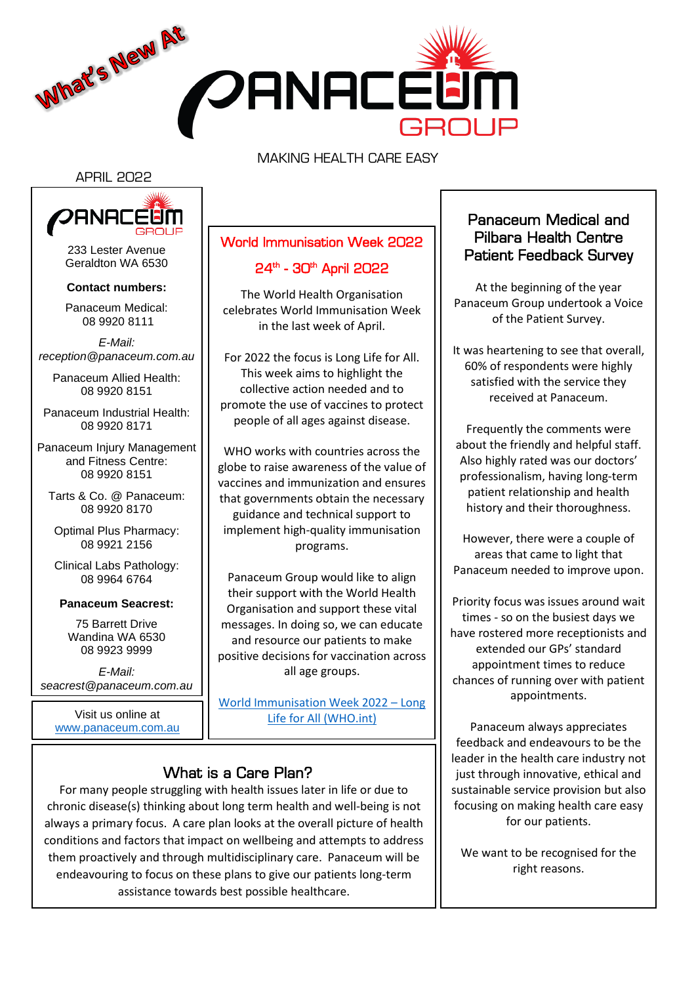

MAKING HEALTH CARE EASY

#### APRIL 2022



233 Lester Avenue Geraldton WA 6530

#### **Contact numbers:**

Panaceum Medical: 08 9920 8111

*E-Mail: reception@panaceum.com.au*

Panaceum Allied Health: 08 9920 8151

Panaceum Industrial Health: 08 9920 8171

Panaceum Injury Management and Fitness Centre: 08 9920 8151

Tarts & Co. @ Panaceum: 08 9920 8170

Optimal Plus Pharmacy: 08 9921 2156

Clinical Labs Pathology: 08 9964 6764

#### **Panaceum Seacrest:**

75 Barrett Drive Wandina WA 6530 08 9923 9999

*E-Mail: seacrest@panaceum.com.au*

Visit us online at <www.panaceum.com.au>

# World Immunisation Week 2022 24<sup>th</sup> - 30<sup>th</sup> April 2022

The World Health Organisation celebrates World Immunisation Week in the last week of April.

For 2022 the focus is Long Life for All. This week aims to highlight the collective action needed and to promote the use of vaccines to protect people of all ages against disease.

WHO works with countries across the globe to raise awareness of the value of vaccines and immunization and ensures that governments obtain the necessary guidance and technical support to implement high-quality immunisation programs.

Panaceum Group would like to align their support with the World Health Organisation and support these vital messages. In doing so, we can educate and resource our patients to make positive decisions for vaccination across all age groups.

[World Immunisation Week 2022](https://www.who.int/news-room/events/detail/2022/04/24/default-calendar/world-immunization-week-2022---long-life-for-all#:~:text=World%20Immunization%20Week%202022%20%2D%2024%20to%2030%20April&text=The%20ultimate%20goal%20of%20World,protected%20from%20vaccine%2Dpreventable%20diseases.) – Long [Life for All \(WHO.int\)](https://www.who.int/news-room/events/detail/2022/04/24/default-calendar/world-immunization-week-2022---long-life-for-all#:~:text=World%20Immunization%20Week%202022%20%2D%2024%20to%2030%20April&text=The%20ultimate%20goal%20of%20World,protected%20from%20vaccine%2Dpreventable%20diseases.)

## What is a Care Plan?

For many people struggling with health issues later in life or due to chronic disease(s) thinking about long term health and well-being is not always a primary focus. A care plan looks at the overall picture of health conditions and factors that impact on wellbeing and attempts to address them proactively and through multidisciplinary care. Panaceum will be endeavouring to focus on these plans to give our patients long-term assistance towards best possible healthcare.

## Panaceum Medical and Pilbara Health Centre Patient Feedback Survey

At the beginning of the year Panaceum Group undertook a Voice of the Patient Survey.

It was heartening to see that overall, 60% of respondents were highly satisfied with the service they received at Panaceum.

Frequently the comments were about the friendly and helpful staff. Also highly rated was our doctors' professionalism, having long-term patient relationship and health history and their thoroughness.

However, there were a couple of areas that came to light that Panaceum needed to improve upon.

Priority focus was issues around wait times - so on the busiest days we have rostered more receptionists and extended our GPs' standard appointment times to reduce chances of running over with patient appointments.

Panaceum always appreciates feedback and endeavours to be the leader in the health care industry not just through innovative, ethical and sustainable service provision but also focusing on making health care easy for our patients.

We want to be recognised for the right reasons.